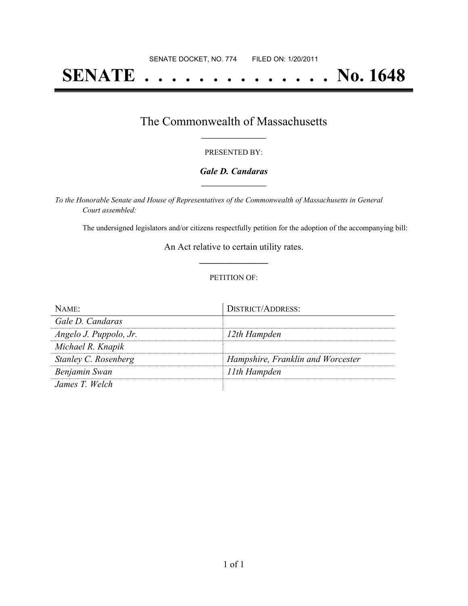# **SENATE . . . . . . . . . . . . . . No. 1648**

### The Commonwealth of Massachusetts **\_\_\_\_\_\_\_\_\_\_\_\_\_\_\_\_\_**

#### PRESENTED BY:

#### *Gale D. Candaras* **\_\_\_\_\_\_\_\_\_\_\_\_\_\_\_\_\_**

*To the Honorable Senate and House of Representatives of the Commonwealth of Massachusetts in General Court assembled:*

The undersigned legislators and/or citizens respectfully petition for the adoption of the accompanying bill:

An Act relative to certain utility rates. **\_\_\_\_\_\_\_\_\_\_\_\_\_\_\_**

#### PETITION OF:

| NAME                   | DISTRICT/ADDRESS:                 |
|------------------------|-----------------------------------|
| Gale D. Candaras       |                                   |
| Angelo J. Puppolo, Jr. | 12th Hampden                      |
| Michael R. Knapik      |                                   |
| Stanley C. Rosenberg   | Hampshire, Franklin and Worcester |
| Benjamin Swan          | 11th Hampden                      |
| James T Welch          |                                   |